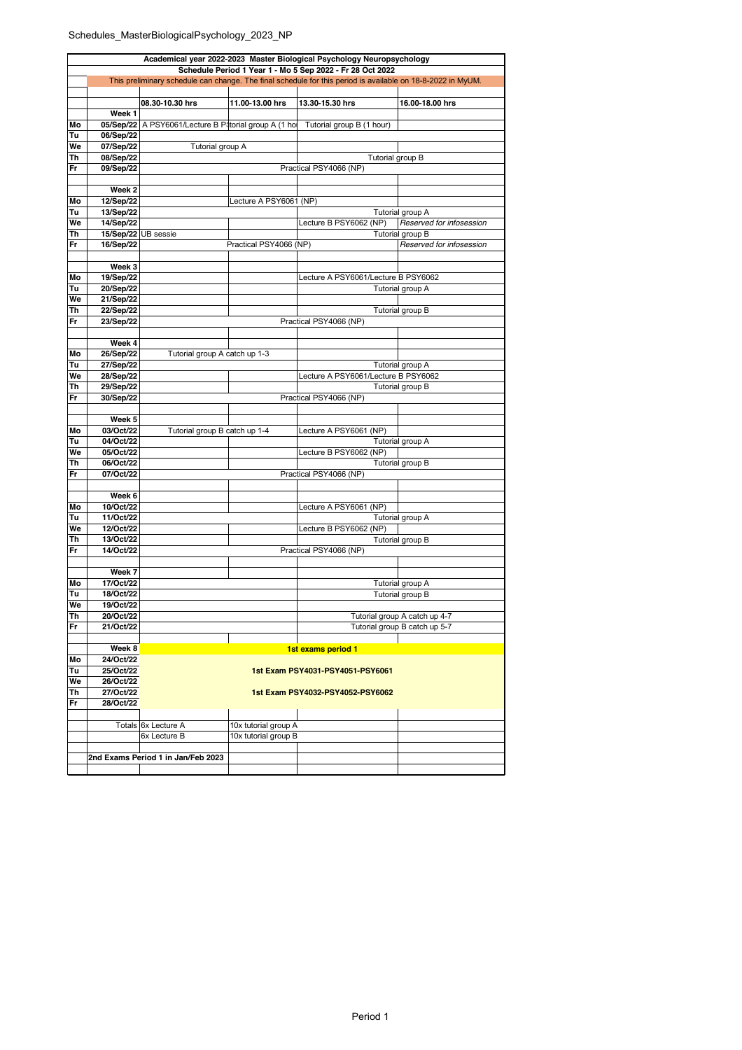## Schedules\_MasterBiologicalPsychology\_2023\_NP

| Academical year 2022-2023 Master Biological Psychology Neuropsychology |                        |                                                       |                        |                                                                                                             |                               |  |  |  |  |  |
|------------------------------------------------------------------------|------------------------|-------------------------------------------------------|------------------------|-------------------------------------------------------------------------------------------------------------|-------------------------------|--|--|--|--|--|
| Schedule Period 1 Year 1 - Mo 5 Sep 2022 - Fr 28 Oct 2022              |                        |                                                       |                        |                                                                                                             |                               |  |  |  |  |  |
|                                                                        |                        |                                                       |                        | This preliminary schedule can change. The final schedule for this period is available on 18-8-2022 in MyUM. |                               |  |  |  |  |  |
|                                                                        |                        |                                                       |                        |                                                                                                             |                               |  |  |  |  |  |
|                                                                        |                        | 08.30-10.30 hrs                                       | 11.00-13.00 hrs        | 13.30-15.30 hrs                                                                                             | 16.00-18.00 hrs               |  |  |  |  |  |
| Mo                                                                     | Week 1                 | 05/Sep/22 A PSY6061/Lecture B Pitorial group A (1 hot |                        |                                                                                                             |                               |  |  |  |  |  |
| Tu                                                                     | 06/Sep/22              |                                                       |                        | Tutorial group B (1 hour)                                                                                   |                               |  |  |  |  |  |
| We                                                                     | 07/Sep/22              | Tutorial group A                                      |                        |                                                                                                             |                               |  |  |  |  |  |
| Th                                                                     | 08/Sep/22              |                                                       |                        | Tutorial group B                                                                                            |                               |  |  |  |  |  |
| Fr                                                                     | 09/Sep/22              |                                                       |                        | Practical PSY4066 (NP)                                                                                      |                               |  |  |  |  |  |
|                                                                        |                        |                                                       |                        |                                                                                                             |                               |  |  |  |  |  |
|                                                                        | Week 2                 |                                                       |                        |                                                                                                             |                               |  |  |  |  |  |
| Mo                                                                     | 12/Sep/22              |                                                       | Lecture A PSY6061 (NP) |                                                                                                             |                               |  |  |  |  |  |
| Tu                                                                     | 13/Sep/22              |                                                       |                        |                                                                                                             | Tutorial group A              |  |  |  |  |  |
| We                                                                     | 14/Sep/22              |                                                       |                        | Lecture B PSY6062 (NP)                                                                                      | Reserved for infosession      |  |  |  |  |  |
| Th                                                                     | 15/Sep/22 UB sessie    |                                                       |                        |                                                                                                             | Tutorial group B              |  |  |  |  |  |
| Fr                                                                     | 16/Sep/22              |                                                       | Practical PSY4066 (NP) |                                                                                                             | Reserved for infosession      |  |  |  |  |  |
|                                                                        |                        |                                                       |                        |                                                                                                             |                               |  |  |  |  |  |
| Mo                                                                     | Week 3<br>19/Sep/22    |                                                       |                        | Lecture A PSY6061/Lecture B PSY6062                                                                         |                               |  |  |  |  |  |
| Tu                                                                     | 20/Sep/22              |                                                       |                        |                                                                                                             | Tutorial group A              |  |  |  |  |  |
| We                                                                     | 21/Sep/22              |                                                       |                        |                                                                                                             |                               |  |  |  |  |  |
| Th                                                                     | 22/Sep/22              |                                                       |                        |                                                                                                             | Tutorial group B              |  |  |  |  |  |
| Fr                                                                     | 23/Sep/22              |                                                       |                        | Practical PSY4066 (NP)                                                                                      |                               |  |  |  |  |  |
|                                                                        |                        |                                                       |                        |                                                                                                             |                               |  |  |  |  |  |
|                                                                        | Week 4                 |                                                       |                        |                                                                                                             |                               |  |  |  |  |  |
| Mo                                                                     | 26/Sep/22              | Tutorial group A catch up 1-3                         |                        |                                                                                                             |                               |  |  |  |  |  |
| Tu                                                                     | 27/Sep/22              |                                                       |                        |                                                                                                             | Tutorial group A              |  |  |  |  |  |
| We                                                                     | 28/Sep/22              |                                                       |                        | Lecture A PSY6061/Lecture B PSY6062                                                                         |                               |  |  |  |  |  |
| Th                                                                     | 29/Sep/22              |                                                       |                        |                                                                                                             | Tutorial group B              |  |  |  |  |  |
| Fr                                                                     | 30/Sep/22              |                                                       |                        | Practical PSY4066 (NP)                                                                                      |                               |  |  |  |  |  |
|                                                                        |                        |                                                       |                        |                                                                                                             |                               |  |  |  |  |  |
| Mo                                                                     | Week 5<br>03/Oct/22    | Tutorial group B catch up 1-4                         |                        | Lecture A PSY6061 (NP)                                                                                      |                               |  |  |  |  |  |
| Tu                                                                     | 04/Oct/22              |                                                       |                        |                                                                                                             | Tutorial group A              |  |  |  |  |  |
| We                                                                     | 05/Oct/22              |                                                       |                        | Lecture B PSY6062 (NP)                                                                                      |                               |  |  |  |  |  |
| Th                                                                     | 06/Oct/22              |                                                       |                        |                                                                                                             | Tutorial group B              |  |  |  |  |  |
| Fr                                                                     | 07/Oct/22              | Practical PSY4066 (NP)                                |                        |                                                                                                             |                               |  |  |  |  |  |
|                                                                        |                        |                                                       |                        |                                                                                                             |                               |  |  |  |  |  |
|                                                                        | Week 6                 |                                                       |                        |                                                                                                             |                               |  |  |  |  |  |
| Mo                                                                     | 10/Oct/22              |                                                       |                        | Lecture A PSY6061 (NP)                                                                                      |                               |  |  |  |  |  |
| Tu                                                                     | 11/Oct/22              |                                                       |                        |                                                                                                             | Tutorial group A              |  |  |  |  |  |
| We                                                                     | 12/Oct/22<br>13/Oct/22 |                                                       |                        | Lecture B PSY6062 (NP)                                                                                      |                               |  |  |  |  |  |
| Th<br>Fr                                                               | 14/Oct/22              |                                                       |                        |                                                                                                             | Tutorial group B              |  |  |  |  |  |
|                                                                        |                        | Practical PSY4066 (NP)                                |                        |                                                                                                             |                               |  |  |  |  |  |
|                                                                        | Week 7                 |                                                       |                        |                                                                                                             |                               |  |  |  |  |  |
| Mo                                                                     | 17/Oct/22              |                                                       |                        |                                                                                                             | Tutorial group A              |  |  |  |  |  |
| Tu                                                                     | 18/Oct/22              |                                                       |                        |                                                                                                             | Tutorial group B              |  |  |  |  |  |
| We                                                                     | 19/Oct/22              |                                                       |                        |                                                                                                             |                               |  |  |  |  |  |
| Th                                                                     | 20/Oct/22              |                                                       |                        |                                                                                                             | Tutorial group A catch up 4-7 |  |  |  |  |  |
| Fr                                                                     | 21/Oct/22              |                                                       |                        |                                                                                                             | Tutorial group B catch up 5-7 |  |  |  |  |  |
|                                                                        |                        |                                                       |                        |                                                                                                             |                               |  |  |  |  |  |
|                                                                        | Week 8                 |                                                       |                        | 1st exams period 1                                                                                          |                               |  |  |  |  |  |
| Mo                                                                     | 24/Oct/22<br>25/Oct/22 |                                                       |                        |                                                                                                             |                               |  |  |  |  |  |
| Tu<br>We                                                               | 26/Oct/22              |                                                       |                        | 1st Exam PSY4031-PSY4051-PSY6061                                                                            |                               |  |  |  |  |  |
| Th                                                                     | 27/Oct/22              | 1st Exam PSY4032-PSY4052-PSY6062                      |                        |                                                                                                             |                               |  |  |  |  |  |
| Fr                                                                     | 28/Oct/22              |                                                       |                        |                                                                                                             |                               |  |  |  |  |  |
|                                                                        |                        |                                                       |                        |                                                                                                             |                               |  |  |  |  |  |
|                                                                        |                        | Totals 6x Lecture A                                   | 10x tutorial group A   |                                                                                                             |                               |  |  |  |  |  |
|                                                                        |                        | 6x Lecture B                                          | 10x tutorial group B   |                                                                                                             |                               |  |  |  |  |  |
|                                                                        |                        |                                                       |                        |                                                                                                             |                               |  |  |  |  |  |
|                                                                        |                        | 2nd Exams Period 1 in Jan/Feb 2023                    |                        |                                                                                                             |                               |  |  |  |  |  |
|                                                                        |                        |                                                       |                        |                                                                                                             |                               |  |  |  |  |  |